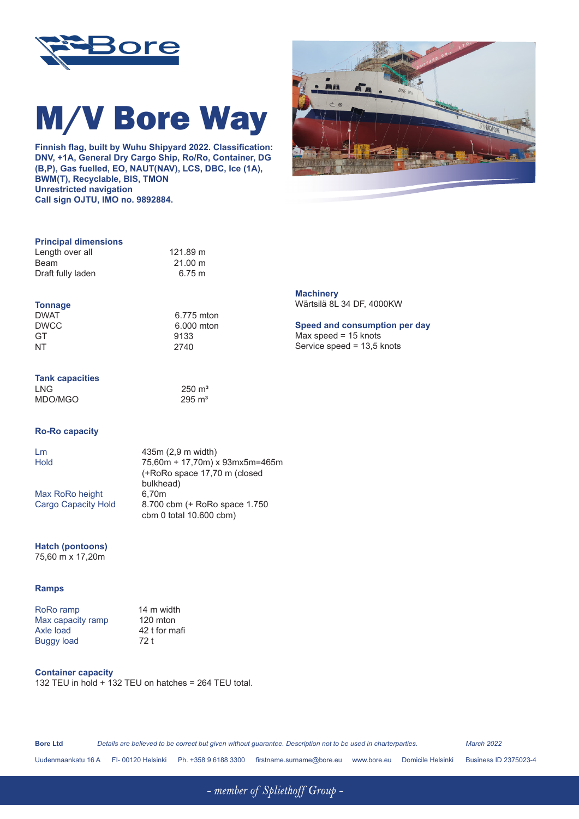

# M/V Bore Way

**Finnish flag, built by Wuhu Shipyard 2022. Classification: DNV, +1A, General Dry Cargo Ship, Ro/Ro, Container, DG (B,P), Gas fuelled, EO, NAUT(NAV), LCS, DBC, Ice (1A), BWM(T), Recyclable, BIS, TMON Unrestricted navigation Call sign OJTU, IMO no. 9892884.**



#### **Principal dimensions**

| Length over all   | 121.89 m          |
|-------------------|-------------------|
| Beam              | $21.00 \text{ m}$ |
| Draft fully laden | 6.75 m            |

## **Tonnage**

DWAT
BURG COMPONENT CONTRACT CONTRACT CONTRACT ON BURGON CONTRACT ON A GALACTIC CONTRACT OF CONTRACT ON A GALACTIC CONTRACT OF CONTRACT OF CONTRACT ON A GALACTIC CONTRACT OF CONTRACT OF CONTRACT OF CONTRACT OF CONTRACT OF DWCC 6.000 mton<br>GT 9133

GT 9133<br>NT 2740

| <b>Tank capacities</b> |                     |
|------------------------|---------------------|
| LNG                    | $250 \; \text{m}^3$ |
| MDO/MGO                | $295 \text{ m}^3$   |

#### **Ro-Ro capacity**

Lm 435m (2,9 m width)<br>Hold 75 60m + 17.70m) 3 75,60m + 17,70m) x 93mx5m=465m (+RoRo space 17,70 m (closed bulkhead)<br>6,70m Cargo Capacity Hold 8.700 cbm (+ RoRo space 1.750 cbm 0 total 10.600 cbm)

2740

### **Hatch (pontoons)**

Max RoRo height

75,60 m x 17,20m

#### **Ramps**

| RoRo ramp         | 14 m width<br>120 mton |  |  |
|-------------------|------------------------|--|--|
| Max capacity ramp |                        |  |  |
| Axle load         | 42 t for mafi          |  |  |
| <b>Buggy load</b> | 72 t                   |  |  |
|                   |                        |  |  |

**Container capacity** 132 TEU in hold + 132 TEU on hatches = 264 TEU total.

| <b>Bore Ltd</b>    | Details are believed to be correct but given without guarantee. Description not to be used in charterparties.<br><b>March 2022</b> |                    |                      |                           |               |                   |                              |
|--------------------|------------------------------------------------------------------------------------------------------------------------------------|--------------------|----------------------|---------------------------|---------------|-------------------|------------------------------|
| Uudenmaankatu 16 A |                                                                                                                                    | FI- 00120 Helsinki | Ph. +358 9 6188 3300 | firstname.surname@bore.eu | www.bore.eu l | Domicile Helsinki | <b>Business ID 2375023-4</b> |

- member of Spliethoff Group -

**Machinery** Wärtsilä 8L 34 DF, 4000KW

#### **Speed and consumption per day** Max speed = 15 knots

Service speed = 13,5 knots